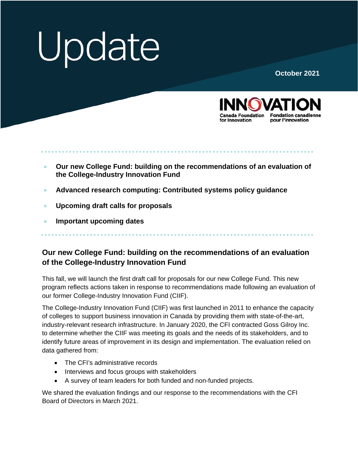# Update

#### **October 2021**



- **Our new College Fund: building on the recommendations of an evaluation of the College-Industry Innovation Fund**
- **Advanced research computing: [Contributed systems policy guidance](#page-1-0)**
- **[Upcoming draft calls for proposals](#page-2-0)**
- **[Important upcoming dates](#page-2-0)**

### **Our new College Fund: building on the recommendations of an evaluation of the College-Industry Innovation Fund**

This fall, we will launch the first draft call for proposals for our new College Fund. This new program reflects actions taken in response to recommendations made following an evaluation of our former College-Industry Innovation Fund (CIIF).

The College-Industry Innovation Fund (CIIF) was first launched in 2011 to enhance the capacity of colleges to support business innovation in Canada by providing them with state-of-the-art, industry-relevant research infrastructure. In January 2020, the CFI contracted Goss Gilroy Inc. to determine whether the CIIF was meeting its goals and the needs of its stakeholders, and to identify future areas of improvement in its design and implementation. The evaluation relied on data gathered from:

- The CFI's administrative records
- Interviews and focus groups with stakeholders
- A survey of team leaders for both funded and non-funded projects.

We shared the evaluation findings and our response to the recommendations with the CFI Board of Directors in March 2021.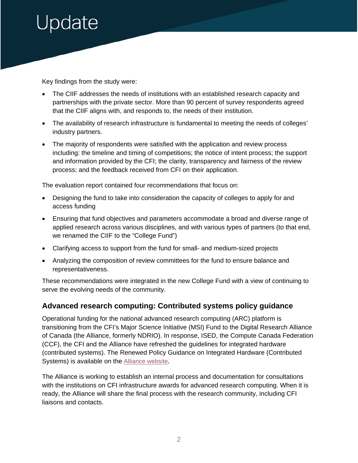## <span id="page-1-0"></span>pdate

Key findings from the study were:

- The CIIF addresses the needs of institutions with an established research capacity and partnerships with the private sector. More than 90 percent of survey respondents agreed that the CIIF aligns with, and responds to, the needs of their institution.
- The availability of research infrastructure is fundamental to meeting the needs of colleges' industry partners.
- The majority of respondents were satisfied with the application and review process including: the timeline and timing of competitions; the notice of intent process; the support and information provided by the CFI; the clarity, transparency and fairness of the review process; and the feedback received from CFI on their application.

The evaluation report contained four recommendations that focus on:

- Designing the fund to take into consideration the capacity of colleges to apply for and access funding
- Ensuring that fund objectives and parameters accommodate a broad and diverse range of applied research across various disciplines, and with various types of partners (to that end, we renamed the CIIF to the "College Fund")
- Clarifying access to support from the fund for small- and medium-sized projects
- Analyzing the composition of review committees for the fund to ensure balance and representativeness.

These recommendations were integrated in the new College Fund with a view of continuing to serve the evolving needs of the community.

#### **Advanced research computing: Contributed systems policy guidance**

Operational funding for the national advanced research computing (ARC) platform is transitioning from the CFI's Major Science Initiative (MSI) Fund to the Digital Research Alliance of Canada (the Alliance, formerly NDRIO). In response, ISED, the Compute Canada Federation (CCF), the CFI and the Alliance have refreshed the guidelines for integrated hardware (contributed systems). The Renewed Policy Guidance on Integrated Hardware (Contributed Systems) is available on the [Alliance website](https://engagedri.ca/funding-opportunities/advanced-research-computing-infrastructure)**.** 

The Alliance is working to establish an internal process and documentation for consultations with the institutions on CFI infrastructure awards for advanced research computing. When it is ready, the Alliance will share the final process with the research community, including CFI liaisons and contacts.